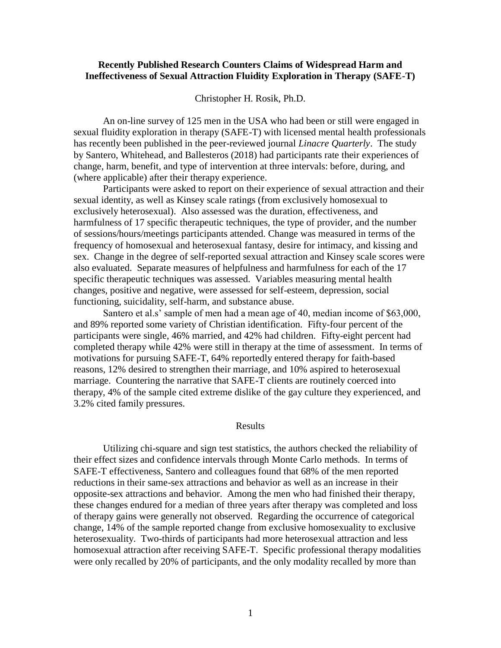## **Recently Published Research Counters Claims of Widespread Harm and Ineffectiveness of Sexual Attraction Fluidity Exploration in Therapy (SAFE-T)**

Christopher H. Rosik, Ph.D.

An on-line survey of 125 men in the USA who had been or still were engaged in sexual fluidity exploration in therapy (SAFE-T) with licensed mental health professionals has recently been published in the peer-reviewed journal *Linacre Quarterly*. The study by Santero, Whitehead, and Ballesteros (2018) had participants rate their experiences of change, harm, benefit, and type of intervention at three intervals: before, during, and (where applicable) after their therapy experience.

Participants were asked to report on their experience of sexual attraction and their sexual identity, as well as Kinsey scale ratings (from exclusively homosexual to exclusively heterosexual). Also assessed was the duration, effectiveness, and harmfulness of 17 specific therapeutic techniques, the type of provider, and the number of sessions/hours/meetings participants attended. Change was measured in terms of the frequency of homosexual and heterosexual fantasy, desire for intimacy, and kissing and sex. Change in the degree of self-reported sexual attraction and Kinsey scale scores were also evaluated. Separate measures of helpfulness and harmfulness for each of the 17 specific therapeutic techniques was assessed. Variables measuring mental health changes, positive and negative, were assessed for self-esteem, depression, social functioning, suicidality, self-harm, and substance abuse.

Santero et al.s' sample of men had a mean age of 40, median income of \$63,000, and 89% reported some variety of Christian identification. Fifty-four percent of the participants were single, 46% married, and 42% had children. Fifty-eight percent had completed therapy while 42% were still in therapy at the time of assessment. In terms of motivations for pursuing SAFE-T, 64% reportedly entered therapy for faith-based reasons, 12% desired to strengthen their marriage, and 10% aspired to heterosexual marriage. Countering the narrative that SAFE-T clients are routinely coerced into therapy, 4% of the sample cited extreme dislike of the gay culture they experienced, and 3.2% cited family pressures.

#### Results

Utilizing chi-square and sign test statistics, the authors checked the reliability of their effect sizes and confidence intervals through Monte Carlo methods. In terms of SAFE-T effectiveness, Santero and colleagues found that 68% of the men reported reductions in their same-sex attractions and behavior as well as an increase in their opposite-sex attractions and behavior. Among the men who had finished their therapy, these changes endured for a median of three years after therapy was completed and loss of therapy gains were generally not observed. Regarding the occurrence of categorical change, 14% of the sample reported change from exclusive homosexuality to exclusive heterosexuality. Two-thirds of participants had more heterosexual attraction and less homosexual attraction after receiving SAFE-T. Specific professional therapy modalities were only recalled by 20% of participants, and the only modality recalled by more than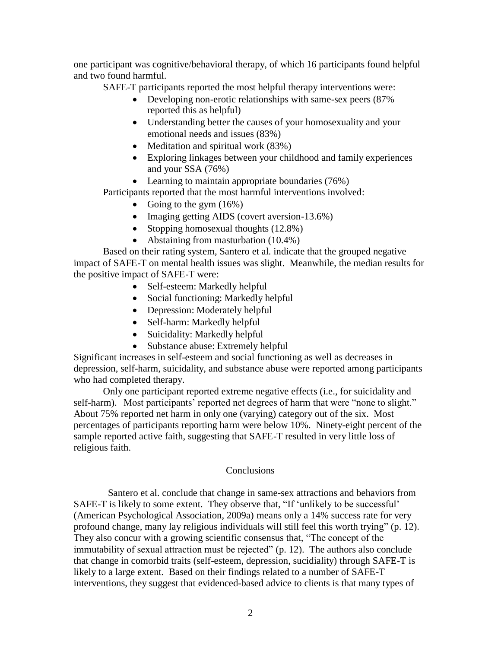one participant was cognitive/behavioral therapy, of which 16 participants found helpful and two found harmful.

SAFE-T participants reported the most helpful therapy interventions were:

- Developing non-erotic relationships with same-sex peers (87%) reported this as helpful)
- Understanding better the causes of your homosexuality and your emotional needs and issues (83%)
- Meditation and spiritual work  $(83%)$
- Exploring linkages between your childhood and family experiences and your SSA (76%)
- Learning to maintain appropriate boundaries (76%)

Participants reported that the most harmful interventions involved:

- Going to the gym  $(16%)$
- Imaging getting AIDS (covert aversion-13.6%)
- Stopping homosexual thoughts  $(12.8\%)$
- Abstaining from masturbation (10.4%)

Based on their rating system, Santero et al. indicate that the grouped negative impact of SAFE-T on mental health issues was slight. Meanwhile, the median results for the positive impact of SAFE-T were:

- Self-esteem: Markedly helpful
- Social functioning: Markedly helpful
- Depression: Moderately helpful
- Self-harm: Markedly helpful
- Suicidality: Markedly helpful
- Substance abuse: Extremely helpful

Significant increases in self-esteem and social functioning as well as decreases in depression, self-harm, suicidality, and substance abuse were reported among participants who had completed therapy.

Only one participant reported extreme negative effects (i.e., for suicidality and self-harm). Most participants' reported net degrees of harm that were "none to slight." About 75% reported net harm in only one (varying) category out of the six. Most percentages of participants reporting harm were below 10%. Ninety-eight percent of the sample reported active faith, suggesting that SAFE-T resulted in very little loss of religious faith.

# **Conclusions**

 Santero et al. conclude that change in same-sex attractions and behaviors from SAFE-T is likely to some extent. They observe that, "If 'unlikely to be successful' (American Psychological Association, 2009a) means only a 14% success rate for very profound change, many lay religious individuals will still feel this worth trying" (p. 12). They also concur with a growing scientific consensus that, "The concept of the immutability of sexual attraction must be rejected" (p. 12). The authors also conclude that change in comorbid traits (self-esteem, depression, sucidiality) through SAFE-T is likely to a large extent. Based on their findings related to a number of SAFE-T interventions, they suggest that evidenced-based advice to clients is that many types of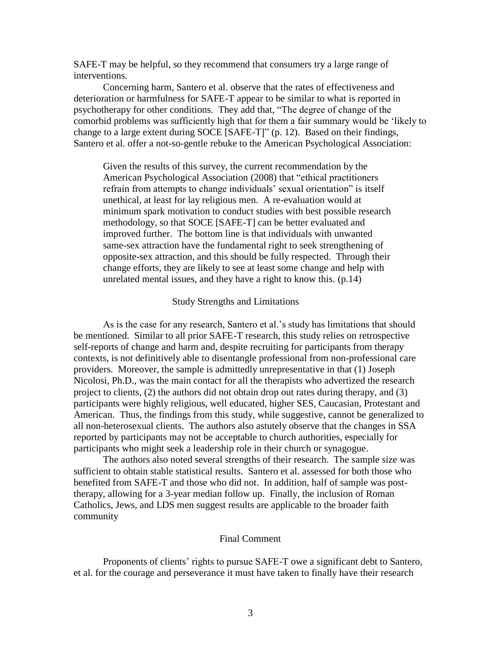SAFE-T may be helpful, so they recommend that consumers try a large range of interventions.

Concerning harm, Santero et al. observe that the rates of effectiveness and deterioration or harmfulness for SAFE-T appear to be similar to what is reported in psychotherapy for other conditions. They add that, "The degree of change of the comorbid problems was sufficiently high that for them a fair summary would be 'likely to change to a large extent during SOCE [SAFE-T]" (p. 12). Based on their findings, Santero et al. offer a not-so-gentle rebuke to the American Psychological Association:

Given the results of this survey, the current recommendation by the American Psychological Association (2008) that "ethical practitioners refrain from attempts to change individuals' sexual orientation" is itself unethical, at least for lay religious men. A re-evaluation would at minimum spark motivation to conduct studies with best possible research methodology, so that SOCE [SAFE-T] can be better evaluated and improved further. The bottom line is that individuals with unwanted same-sex attraction have the fundamental right to seek strengthening of opposite-sex attraction, and this should be fully respected. Through their change efforts, they are likely to see at least some change and help with unrelated mental issues, and they have a right to know this. (p.14)

## Study Strengths and Limitations

As is the case for any research, Santero et al.'s study has limitations that should be mentioned. Similar to all prior SAFE-T research, this study relies on retrospective self-reports of change and harm and, despite recruiting for participants from therapy contexts, is not definitively able to disentangle professional from non-professional care providers. Moreover, the sample is admittedly unrepresentative in that (1) Joseph Nicolosi, Ph.D., was the main contact for all the therapists who advertized the research project to clients, (2) the authors did not obtain drop out rates during therapy, and (3) participants were highly religious, well educated, higher SES, Caucasian, Protestant and American. Thus, the findings from this study, while suggestive, cannot be generalized to all non-heterosexual clients. The authors also astutely observe that the changes in SSA reported by participants may not be acceptable to church authorities, especially for participants who might seek a leadership role in their church or synagogue.

The authors also noted several strengths of their research. The sample size was sufficient to obtain stable statistical results. Santero et al. assessed for both those who benefited from SAFE-T and those who did not. In addition, half of sample was posttherapy, allowing for a 3-year median follow up. Finally, the inclusion of Roman Catholics, Jews, and LDS men suggest results are applicable to the broader faith community

#### Final Comment

Proponents of clients' rights to pursue SAFE-T owe a significant debt to Santero, et al. for the courage and perseverance it must have taken to finally have their research